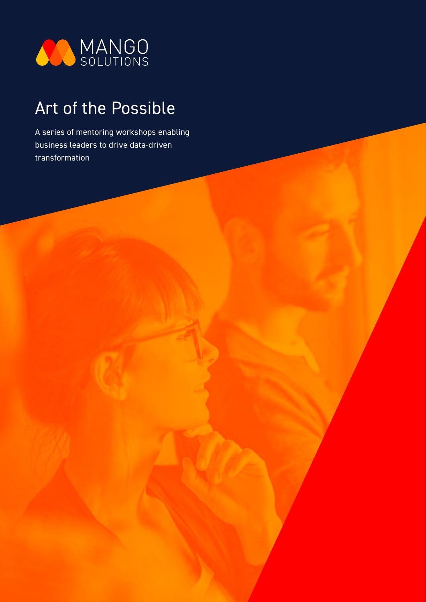

# Art of the Possible

A series of mentoring workshops enabling business leaders to drive data-driven transformation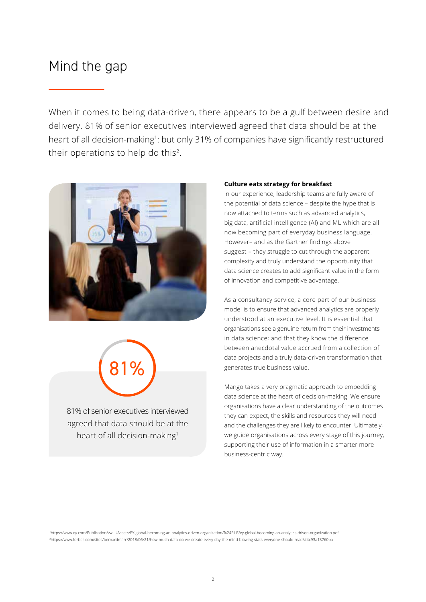### Mind the gap

When it comes to being data-driven, there appears to be a gulf between desire and delivery. 81% of senior executives interviewed agreed that data should be at the heart of all decision-making<sup>1</sup>: but only 31% of companies have significantly restructured their operations to help do this2.





81% of senior executives interviewed agreed that data should be at the heart of all decision-making<sup>1</sup>

#### **Culture eats strategy for breakfast**

In our experience, leadership teams are fully aware of the potential of data science – despite the hype that is now attached to terms such as advanced analytics, big data, artificial intelligence (AI) and ML which are all now becoming part of everyday business language. However– and as the Gartner findings above suggest – they struggle to cut through the apparent complexity and truly understand the opportunity that data science creates to add significant value in the form of innovation and competitive advantage.

As a consultancy service, a core part of our business model is to ensure that advanced analytics are properly understood at an executive level. It is essential that organisations see a genuine return from their investments in data science; and that they know the difference between anecdotal value accrued from a collection of data projects and a truly data-driven transformation that generates true business value.

Mango takes a very pragmatic approach to embedding data science at the heart of decision-making. We ensure organisations have a clear understanding of the outcomes they can expect, the skills and resources they will need and the challenges they are likely to encounter. Ultimately, we guide organisations across every stage of this journey, supporting their use of information in a smarter more business-centric way.

1 https://www.ey.com/Publication/vwLUAssets/EY-global-becoming-an-analytics-driven-organization/%24FILE/ey-global-becoming-an-analytics-driven-organization.pdf 2 https://www.forbes.com/sites/bernardmarr/2018/05/21/how-much-data-do-we-create-every-day-the-mind-blowing-stats-everyone-should-read/#4c93a13760ba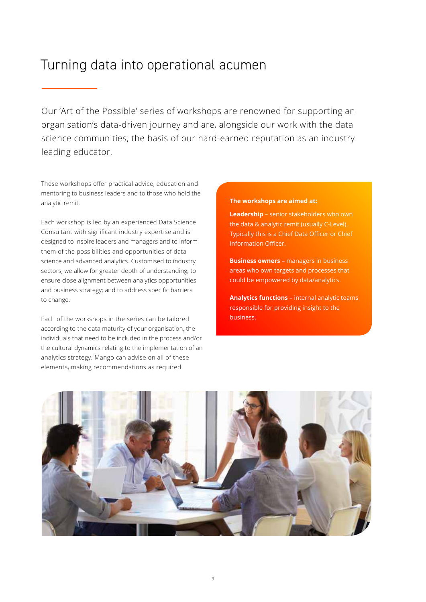### Turning data into operational acumen

Our 'Art of the Possible' series of workshops are renowned for supporting an organisation's data-driven journey and are, alongside our work with the data science communities, the basis of our hard-earned reputation as an industry leading educator.

These workshops offer practical advice, education and mentoring to business leaders and to those who hold the analytic remit.

Each workshop is led by an experienced Data Science Consultant with significant industry expertise and is designed to inspire leaders and managers and to inform them of the possibilities and opportunities of data science and advanced analytics. Customised to industry sectors, we allow for greater depth of understanding; to ensure close alignment between analytics opportunities and business strategy; and to address specific barriers to change.

Each of the workshops in the series can be tailored according to the data maturity of your organisation, the individuals that need to be included in the process and/or the cultural dynamics relating to the implementation of an analytics strategy. Mango can advise on all of these elements, making recommendations as required.

#### **The workshops are aimed at:**

**Leadership** – senior stakeholders who own the data & analytic remit (usually C-Level). Typically this is a Chief Data Officer or Chief Information Officer.

**Business owners** – managers in business areas who own targets and processes that could be empowered by data/analytics.

**Analytics functions** – internal analytic teams responsible for providing insight to the business.

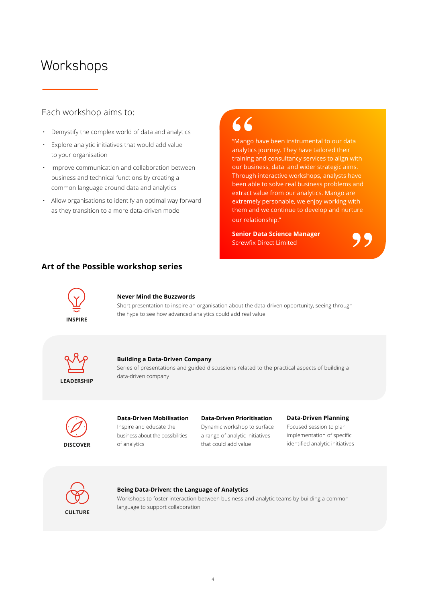### **Workshops**

### Each workshop aims to:

- Demystify the complex world of data and analytics
- Explore analytic initiatives that would add value to your organisation
- Improve communication and collaboration between business and technical functions by creating a common language around data and analytics
- Allow organisations to identify an optimal way forward as they transition to a more data-driven model

# 66

"Mango have been instrumental to our data analytics journey. They have tailored their training and consultancy services to align with our business, data and wider strategic aims. Through interactive workshops, analysts have been able to solve real business problems and extract value from our analytics. Mango are extremely personable, we enjoy working with them and we continue to develop and nurture our relationship."

**Senior Data Science Manager** Screwfix Direct Limited

"

### **Art of the Possible workshop series**



#### **Never Mind the Buzzwords**

Short presentation to inspire an organisation about the data-driven opportunity, seeing through the hype to see how advanced analytics could add real value



#### **Building a Data-Driven Company**

Series of presentations and guided discussions related to the practical aspects of building a data-driven company



### **Data-Driven Mobilisation**

Inspire and educate the business about the possibilities of analytics

#### **Data-Driven Prioritisation**

Dynamic workshop to surface a range of analytic initiatives that could add value

#### **Data-Driven Planning**

Focused session to plan implementation of specific identified analytic initiatives



#### **Being Data-Driven: the Language of Analytics**

Workshops to foster interaction between business and analytic teams by building a common language to support collaboration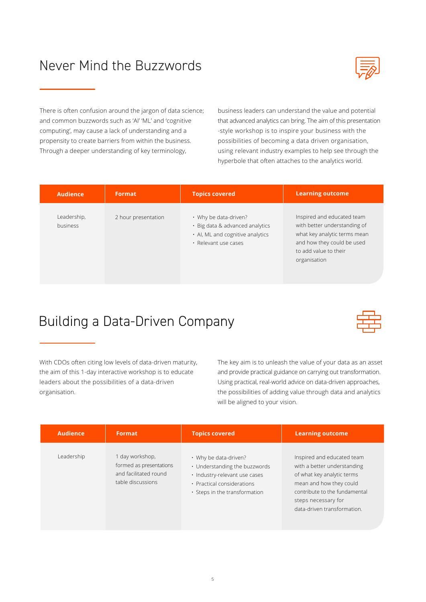# Never Mind the Buzzwords



There is often confusion around the jargon of data science; and common buzzwords such as 'AI' 'ML' and 'cognitive computing', may cause a lack of understanding and a propensity to create barriers from within the business. Through a deeper understanding of key terminology,

business leaders can understand the value and potential that advanced analytics can bring. The aim of this presentation -style workshop is to inspire your business with the possibilities of becoming a data driven organisation, using relevant industry examples to help see through the hyperbole that often attaches to the analytics world.

| <b>Audience</b>         | Format              | <b>Topics covered</b>                                                                                                | <b>Learning outcome</b>                                                                                                                                           |
|-------------------------|---------------------|----------------------------------------------------------------------------------------------------------------------|-------------------------------------------------------------------------------------------------------------------------------------------------------------------|
| Leadership,<br>business | 2 hour presentation | • Why be data-driven?<br>· Big data & advanced analytics<br>• Al, ML and cognitive analytics<br>· Relevant use cases | Inspired and educated team<br>with better understanding of<br>what key analytic terms mean<br>and how they could be used<br>to add value to their<br>organisation |

### Building a Data-Driven Company



With CDOs often citing low levels of data-driven maturity, the aim of this 1-day interactive workshop is to educate leaders about the possibilities of a data-driven organisation.

The key aim is to unleash the value of your data as an asset and provide practical guidance on carrying out transformation. Using practical, real-world advice on data-driven approaches, the possibilities of adding value through data and analytics will be aligned to your vision.

| <b>Audience</b> | Format                                                                                   | <b>Topics covered</b>                                                                                                                                        | <b>Learning outcome</b>                                                                                                                                                                                   |
|-----------------|------------------------------------------------------------------------------------------|--------------------------------------------------------------------------------------------------------------------------------------------------------------|-----------------------------------------------------------------------------------------------------------------------------------------------------------------------------------------------------------|
| Leadership      | 1 day workshop,<br>formed as presentations<br>and facilitated round<br>table discussions | • Why be data-driven?<br>• Understanding the buzzwords<br>· Industry-relevant use cases<br>· Practical considerations<br>$\cdot$ Steps in the transformation | Inspired and educated team<br>with a better understanding<br>of what key analytic terms<br>mean and how they could<br>contribute to the fundamental<br>steps necessary for<br>data-driven transformation. |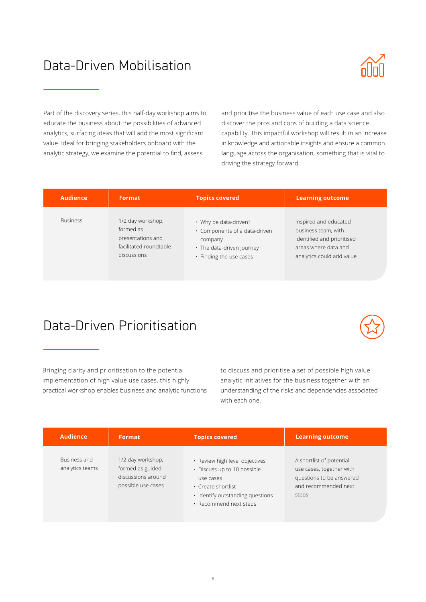## Data-Driven Mobilisation



Part of the discovery series, this half-day workshop aims to educate the business about the possibilities of advanced analytics, surfacing ideas that will add the most significant value. Ideal for bringing stakeholders onboard with the analytic strategy, we examine the potential to find, assess

and prioritise the business value of each use case and also discover the pros and cons of building a data science capability. This impactful workshop will result in an increase in knowledge and actionable insights and ensure a common language across the organisation, something that is vital to driving the strategy forward.

| <b>Audience</b> | Format                 | <b>Topics covered</b>               | <b>Learning outcome</b>    |
|-----------------|------------------------|-------------------------------------|----------------------------|
| <b>Business</b> | 1/2 day workshop,      | • Why be data-driven?               | Inspired and educated      |
|                 | formed as              | $\cdot$ Components of a data-driven | business team, with        |
|                 | presentations and      | company                             | identified and prioritised |
|                 | facilitated roundtable | • The data-driven journey           | areas where data and       |
|                 | discussions            | • Finding the use cases             | analytics could add value  |

### Data-Driven Prioritisation



Bringing clarity and prioritisation to the potential implementation of high value use cases, this highly practical workshop enables business and analytic functions to discuss and prioritise a set of possible high value analytic initiatives for the business together with an understanding of the risks and dependencies associated with each one.

| <b>Audience</b>                 | Format                                                                            | <b>Topics covered</b>                                                                                                                                          | <b>Learning outcome</b>                                                                                           |
|---------------------------------|-----------------------------------------------------------------------------------|----------------------------------------------------------------------------------------------------------------------------------------------------------------|-------------------------------------------------------------------------------------------------------------------|
| Business and<br>analytics teams | 1/2 day workshop,<br>formed as guided<br>discussions around<br>possible use cases | · Review high level objectives<br>• Discuss up to 10 possible<br>use cases<br>• Create shortlist<br>· Identify outstanding questions<br>· Recommend next steps | A shortlist of potential<br>use cases, together with<br>questions to be answered<br>and recommended next<br>steps |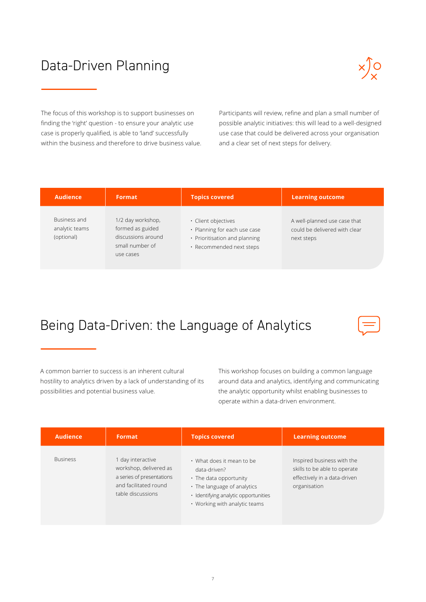# Data-Driven Planning



The focus of this workshop is to support businesses on finding the 'right' question - to ensure your analytic use case is properly qualified, is able to 'land' successfully within the business and therefore to drive business value. Participants will review, refine and plan a small number of possible analytic initiatives: this will lead to a well-designed use case that could be delivered across your organisation and a clear set of next steps for delivery.

| <b>Audience</b>                              | <b>Format</b>                                                                               | <b>Topics covered</b>                                                                                            | <b>Learning outcome</b>                                                     |
|----------------------------------------------|---------------------------------------------------------------------------------------------|------------------------------------------------------------------------------------------------------------------|-----------------------------------------------------------------------------|
| Business and<br>analytic teams<br>(optional) | 1/2 day workshop,<br>formed as guided<br>discussions around<br>small number of<br>use cases | · Client objectives<br>• Planning for each use case<br>• Prioritisation and planning<br>· Recommended next steps | A well-planned use case that<br>could be delivered with clear<br>next steps |

## Being Data-Driven: the Language of Analytics

A common barrier to success is an inherent cultural hostility to analytics driven by a lack of understanding of its possibilities and potential business value.

This workshop focuses on building a common language around data and analytics, identifying and communicating the analytic opportunity whilst enabling businesses to operate within a data-driven environment.

| <b>Audience</b> | Format                                                                                                               | <b>Topics covered</b>                                                                                                                                                       | <b>Learning outcome</b>                                                                                    |
|-----------------|----------------------------------------------------------------------------------------------------------------------|-----------------------------------------------------------------------------------------------------------------------------------------------------------------------------|------------------------------------------------------------------------------------------------------------|
| <b>Business</b> | day interactive<br>workshop, delivered as<br>a series of presentations<br>and facilitated round<br>table discussions | • What does it mean to be<br>data-driven?<br>• The data opportunity<br>• The language of analytics<br>· Identifying analytic opportunities<br>• Working with analytic teams | Inspired business with the<br>skills to be able to operate<br>effectively in a data-driven<br>organisation |